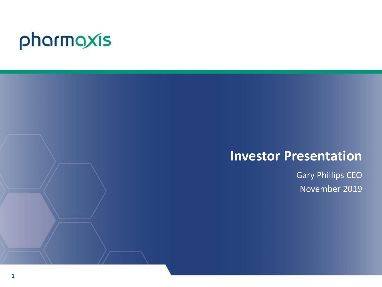# pharmaxis

## **Investor Presentation**

Gary Phillips CEO November 2019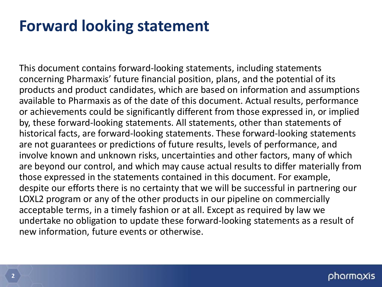## **Forward looking statement**

This document contains forward-looking statements, including statements concerning Pharmaxis' future financial position, plans, and the potential of its products and product candidates, which are based on information and assumptions available to Pharmaxis as of the date of this document. Actual results, performance or achievements could be significantly different from those expressed in, or implied by, these forward-looking statements. All statements, other than statements of historical facts, are forward-looking statements. These forward-looking statements are not guarantees or predictions of future results, levels of performance, and involve known and unknown risks, uncertainties and other factors, many of which are beyond our control, and which may cause actual results to differ materially from those expressed in the statements contained in this document. For example, despite our efforts there is no certainty that we will be successful in partnering our LOXL2 program or any of the other products in our pipeline on commercially acceptable terms, in a timely fashion or at all. Except as required by law we undertake no obligation to update these forward-looking statements as a result of new information, future events or otherwise.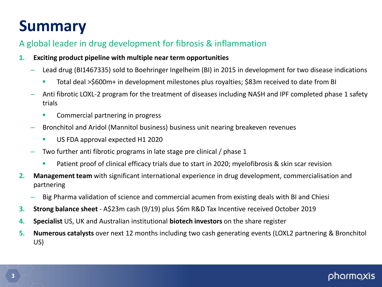## **Summary**

## A global leader in drug development for fibrosis & inflammation

- **1. Exciting product pipeline with multiple near term opportunities**
	- Lead drug (BI1467335) sold to Boehringer Ingelheim (BI) in 2015 in development for two disease indications
		- Total deal >\$600m+ in development milestones plus royalties; \$83m received to date from BI
	- Anti fibrotic LOXL-2 program for the treatment of diseases including NASH and IPF completed phase 1 safety trials
		- Commercial partnering in progress
	- Bronchitol and Aridol (Mannitol business) business unit nearing breakeven revenues
		- US FDA approval expected H1 2020
	- Two further anti fibrotic programs in late stage pre clinical / phase 1
		- **Patient proof of clinical efficacy trials due to start in 2020; myelofibrosis & skin scar revision**
- **2. Management team** with significant international experience in drug development, commercialisation and partnering
	- Big Pharma validation of science and commercial acumen from existing deals with BI and Chiesi
- **3. Strong balance sheet**  A\$23m cash (9/19) plus \$6m R&D Tax Incentive received October 2019
- **4. Specialist** US, UK and Australian institutional **biotech investors** on the share register
- **5. Numerous catalysts** over next 12 months including two cash generating events (LOXL2 partnering & Bronchitol US)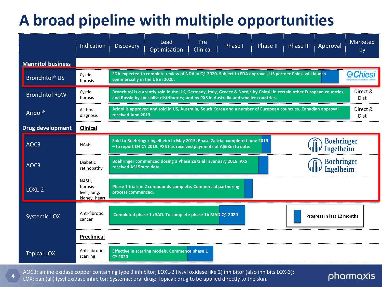# **A broad pipeline with multiple opportunities**

|                          |                            | Indication                                                                                                                                                                                                                            | <b>Discovery</b>                                                                                                                                                                       | Lead<br>Optimisation                           | Pre<br>Clinical | Phase I | Phase II | Phase III | Approval                | Marketed<br>by          |  |
|--------------------------|----------------------------|---------------------------------------------------------------------------------------------------------------------------------------------------------------------------------------------------------------------------------------|----------------------------------------------------------------------------------------------------------------------------------------------------------------------------------------|------------------------------------------------|-----------------|---------|----------|-----------|-------------------------|-------------------------|--|
| <b>Mannitol business</b> |                            |                                                                                                                                                                                                                                       |                                                                                                                                                                                        |                                                |                 |         |          |           |                         |                         |  |
|                          | Bronchitol <sup>®</sup> US | Cystic<br>fibrosis                                                                                                                                                                                                                    | FDA expected to complete review of NDA in Q1 2020. Subject to FDA approval, US partner Chiesi will launch<br>commercially in the US in 2020.                                           |                                                |                 |         |          |           |                         | <b>G</b> Chiesi         |  |
|                          | <b>Bronchitol RoW</b>      | Cystic<br>Bronchitol is currently sold in the UK, Germany, Italy, Greece & Nordic by Chiesi; in certain other European countries<br>fibrosis<br>and Russia by specialist distributors; and by PXS in Australia and smaller countries. |                                                                                                                                                                                        |                                                |                 |         |          |           | Direct &<br><b>Dist</b> |                         |  |
| Aridol®                  |                            | Asthma<br>diagnosis                                                                                                                                                                                                                   | Aridol is approved and sold in US, Australia, South Korea and a number of European countries. Canadian approval<br>received June 2019.                                                 |                                                |                 |         |          |           |                         | Direct &<br><b>Dist</b> |  |
| <b>Drug development</b>  |                            | <b>Clinical</b>                                                                                                                                                                                                                       |                                                                                                                                                                                        |                                                |                 |         |          |           |                         |                         |  |
|                          | AOC <sub>3</sub>           | <b>NASH</b>                                                                                                                                                                                                                           | <b>Boehringer</b><br>Sold to Boehringer Ingelheim in May 2015. Phase 2a trial completed June 2019<br>- to report Q4 CY 2019. PXS has received payments of A\$68m to date.<br>Ingelheim |                                                |                 |         |          |           |                         |                         |  |
|                          | AOC3                       | <b>Diabetic</b><br>retinopathy                                                                                                                                                                                                        | <b>Boehringer</b><br>Boehringer commenced dosing a Phase 2a trial in January 2018. PXS<br>received A\$15m to date.<br>Ingelheim                                                        |                                                |                 |         |          |           |                         |                         |  |
|                          | LOXL-2                     | NASH,<br>fibrosis -<br>liver, lung,<br>kidnev. heart                                                                                                                                                                                  | Phase 1 trials in 2 compounds complete. Commercial partnering<br>process commenced.                                                                                                    |                                                |                 |         |          |           |                         |                         |  |
| <b>Systemic LOX</b>      |                            | Anti-fibrotic:<br>cancer                                                                                                                                                                                                              | Completed phase 1a SAD. To complete phase 1b MAD Q1 2020<br>Progress in last 12 months                                                                                                 |                                                |                 |         |          |           |                         |                         |  |
|                          |                            | <b>Preclinical</b>                                                                                                                                                                                                                    |                                                                                                                                                                                        |                                                |                 |         |          |           |                         |                         |  |
|                          | <b>Topical LOX</b>         | Anti-fibrotic:<br>scarring                                                                                                                                                                                                            | <b>CY 2020</b>                                                                                                                                                                         | Effective in scarring models. Commence phase 1 |                 |         |          |           |                         |                         |  |

AOC3: amine oxidase copper containing type 3 inhibitor; LOXL-2 (lysyl oxidase like 2) inhibitor (also inhibits LOX-3); LOX: pan (all) lysyl oxidase inhibitor; Systemic: oral drug; Topical: drug to be applied directly to the skin.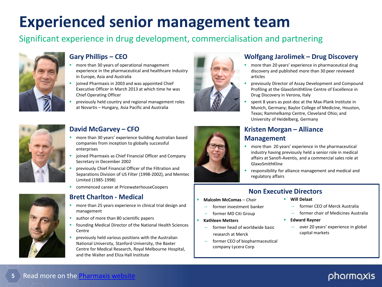# **Experienced senior management team**

### Significant experience in drug development, commercialisation and partnering



### **Gary Phillips – CEO**

- more than 30 years of operational management experience in the pharmaceutical and healthcare industry in Europe, Asia and Australia
- joined Pharmaxis in 2003 and was appointed Chief Executive Officer in March 2013 at which time he was Chief Operating Officer
- previously held country and regional management roles at Novartis – Hungary, Asia Pacific and Australia



### **David McGarvey – CFO**

- more than 30 years' experience building Australian based companies from inception to globally successful enterprises
- joined Pharmaxis as Chief Financial Officer and Company Secretary in December 2002
- previously Chief Financial Officer of the Filtration and Separations Division of US Filter (1998-2002), and Memtec Limited (1985-1998)
- commenced career at PricewaterhouseCoopers



### **Brett Charlton - Medical**

- more than 25 years experience in clinical trial design and management
- author of more than 80 scientific papers
- founding Medical Director of the National Health Sciences **Centre**
- previously held various positions with the Australian National University, Stanford University, the Baxter Centre for Medical Research, Royal Melbourne Hospital, and the Walter and Eliza Hall Institute



### **Wolfgang Jarolimek – Drug Discovery**

- **n** more than 20 years' experience in pharmaceutical drug discovery and published more than 30 peer reviewed articles
- previously Director of Assay Development and Compound Profiling at the GlaxoSmithKline Centre of Excellence in Drug Discovery in Verona, Italy
- spent 8 years as post-doc at the Max-Plank Institute in Munich, Germany; Baylor College of Medicine, Houston, Texas; Rammelkamp Centre, Cleveland Ohio; and University of Heidelberg, Germany



#### **Kristen Morgan – Alliance Management**

- **n** more than 20 years' experience in the pharmaceutical industry having previously held a senior role in medical affairs at Sanofi-Aventis, and a commercial sales role at GlaxoSmithKline
- **•** responsibility for alliance management and medical and regulatory affairs

#### **Non Executive Directors**

- **Malcolm McComas**  *Chair*
	- former investment banker
	- former MD Citi Group

#### **Kathleen Metters**

- former head of worldwide basic research at Merck
- former CEO of biopharmaceutical company Lycera Corp
- **Will Delaat**
	- former CEO of Merck Australia
	- former chair of Medicines Australia
- **Edward Rayner**
	- over 20 years' experience in global capital markets

#### **5** Read more on the [Pharmaxis website](http://www.pharmaxis.com.au/about/our-people/)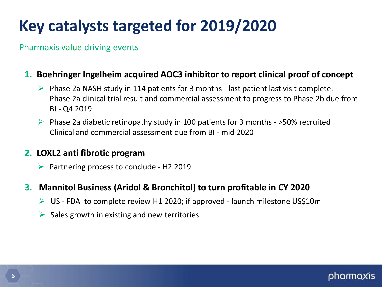# **Key catalysts targeted for 2019/2020**

### Pharmaxis value driving events

### **1. Boehringer Ingelheim acquired AOC3 inhibitor to report clinical proof of concept**

- $\triangleright$  Phase 2a NASH study in 114 patients for 3 months last patient last visit complete. Phase 2a clinical trial result and commercial assessment to progress to Phase 2b due from BI - Q4 2019
- $\triangleright$  Phase 2a diabetic retinopathy study in 100 patients for 3 months >50% recruited Clinical and commercial assessment due from BI - mid 2020

### **2. LOXL2 anti fibrotic program**

 $\triangleright$  Partnering process to conclude - H2 2019

### **3. Mannitol Business (Aridol & Bronchitol) to turn profitable in CY 2020**

- $\triangleright$  US FDA to complete review H1 2020; if approved launch milestone US\$10m
- $\triangleright$  Sales growth in existing and new territories

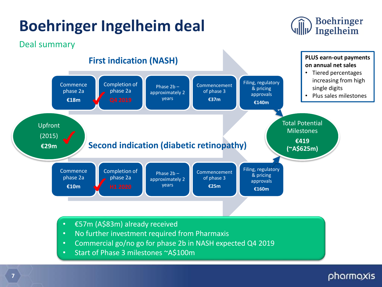# **Boehringer Ingelheim deal**





- No further investment required from Pharmaxis
- Commercial go/no go for phase 2b in NASH expected Q4 2019
- Start of Phase 3 milestones ~A\$100m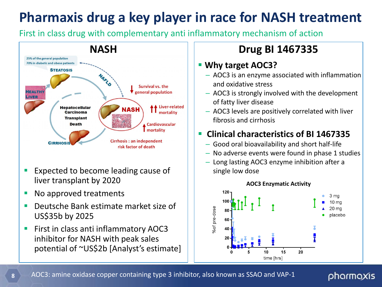## **Pharmaxis drug a key player in race for NASH treatment**

First in class drug with complementary anti inflammatory mechanism of action



- Expected to become leading cause of liver transplant by 2020
- **No approved treatments**
- Deutsche Bank estimate market size of US\$35b by 2025
- First in class anti inflammatory AOC3 inhibitor for NASH with peak sales potential of ~US\$2b [Analyst's estimate]

## **Drug BI 1467335**

### **Why target AOC3?**

- AOC3 is an enzyme associated with inflammation and oxidative stress
- AOC3 is strongly involved with the development of fatty liver disease
- AOC3 levels are positively correlated with liver fibrosis and cirrhosis

### **Clinical characteristics of BI 1467335**

- Good oral bioavailability and short half-life
- No adverse events were found in phase 1 studies
- Long lasting AOC3 enzyme inhibition after a single low dose



pharmaxis

### AOC3: amine oxidase copper containing type 3 inhibitor, also known as SSAO and VAP-1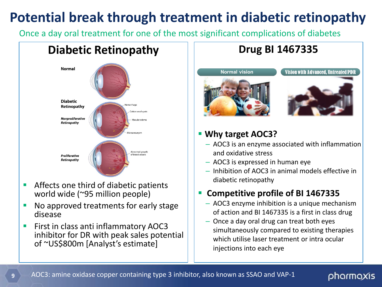## **Potential break through treatment in diabetic retinopathy**

Once a day oral treatment for one of the most significant complications of diabetes



- **Affects one third of diabetic patients** world wide (~95 million people)
- No approved treatments for early stage disease
- **First in class anti inflammatory AOC3** inhibitor for DR with peak sales potential of ~US\$800m [Analyst's estimate]

## **Drug BI 1467335**



## **Why target AOC3?**

- AOC3 is an enzyme associated with inflammation and oxidative stress
- AOC3 is expressed in human eye
- Inhibition of AOC3 in animal models effective in diabetic retinopathy

## **Competitive profile of BI 1467335**

- AOC3 enzyme inhibition is a unique mechanism of action and BI 1467335 is a first in class drug
- Once a day oral drug can treat both eyes simultaneously compared to existing therapies which utilise laser treatment or intra ocular injections into each eye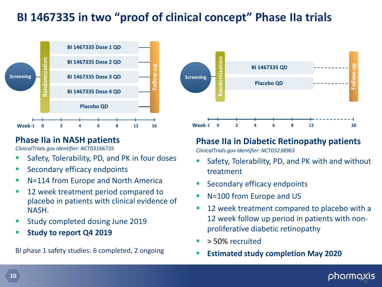## **BI 1467335 in two "proof of clinical concept" Phase IIa trials**



### **Phase IIa in NASH patients**

*ClinicalTrials.gov Identifier: NCT03166735*

- Safety, Tolerability, PD, and PK in four doses
- Secondary efficacy endpoints
- N=114 from Europe and North America
- 12 week treatment period compared to placebo in patients with clinical evidence of NASH.
- Study completed dosing June 2019
- **Study to report Q4 2019**

BI phase 1 safety studies: 6 completed, 2 ongoing



### **Phase IIa in Diabetic Retinopathy patients**

*ClinicalTrials.gov Identifier: NCT03238963*

- Safety, Tolerability, PD, and PK with and without treatment
- Secondary efficacy endpoints
- **N=100 from Europe and US**
- **12** week treatment compared to placebo with a 12 week follow up period in patients with nonproliferative diabetic retinopathy
- > 50% recruited
- **Estimated study completion May 2020**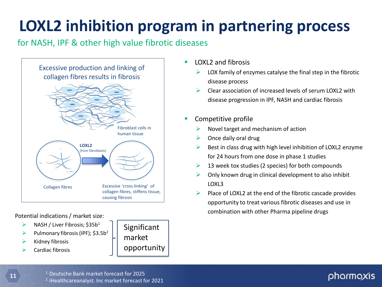# **LOXL2 inhibition program in partnering process**

### for NASH, IPF & other high value fibrotic diseases



Potential indications / market size:

- $\triangleright$  NASH / Liver Fibrosis; \$35b<sup>1</sup>
- Pulmonary fibrosis (IPF);  $$3.5b^2$
- Kidney fibrosis
- Cardiac fibrosis



- $\blacksquare$  LOXL2 and fibrosis
	- LOX family of enzymes catalyse the final step in the fibrotic disease process
	- Clear association of increased levels of serum LOXL2 with disease progression in IPF, NASH and cardiac fibrosis
- Competitive profile
	- Novel target and mechanism of action
	- Once daily oral drug
	- Best in class drug with high level inhibition of LOXL2 enzyme for 24 hours from one dose in phase 1 studies
	- $\triangleright$  13 week tox studies (2 species) for both compounds
	- $\triangleright$  Only known drug in clinical development to also inhibit LOXL3
	- Place of LOXL2 at the end of the fibrotic cascade provides opportunity to treat various fibrotic diseases and use in combination with other Pharma pipeline drugs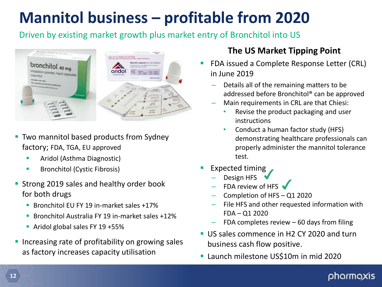# **Mannitol business – profitable from 2020**

Driven by existing market growth plus market entry of Bronchitol into US



- Two mannitol based products from Sydney factory; FDA, TGA, EU approved
	- Aridol (Asthma Diagnostic)
	- **Bronchitol (Cystic Fibrosis)**
- **Strong 2019 sales and healthy order book** for both drugs
	- Bronchitol EU FY 19 in-market sales +17%
	- **Bronchitol Australia FY 19 in-market sales +12%**
	- Aridol global sales FY 19 +55%
- **Increasing rate of profitability on growing sales** as factory increases capacity utilisation

### **The US Market Tipping Point**

- FDA issued a Complete Response Letter (CRL) in June 2019
	- Details all of the remaining matters to be addressed before Bronchitol® can be approved
	- Main requirements in CRL are that Chiesi:
		- Revise the product packaging and user instructions
		- Conduct a human factor study (HFS) demonstrating healthcare professionals can properly administer the mannitol tolerance test.
- Expected timing
	- Design HFS
	- FDA review of HFS
	- Completion of HFS Q1 2020
	- File HFS and other requested information with FDA – Q1 2020
	- FDA completes review  $-60$  days from filing
- US sales commence in H2 CY 2020 and turn business cash flow positive.
- **Launch milestone US\$10m in mid 2020**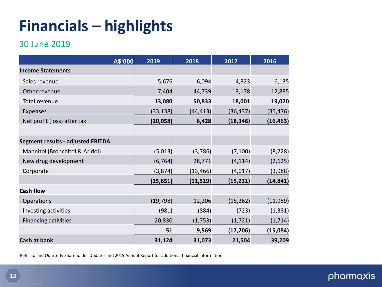# **Financials – highlights**

### 30 June 2019

| A\$'000                           | 2019      | 2018      | 2017      | 2016      |
|-----------------------------------|-----------|-----------|-----------|-----------|
| <b>Income Statements</b>          |           |           |           |           |
| Sales revenue                     | 5,676     | 6,094     | 4,823     | 6,135     |
| Other revenue                     | 7,404     | 44,739    | 13,178    | 12,885    |
| Total revenue                     | 13,080    | 50,833    | 18,001    | 19,020    |
| Expenses                          | (33, 138) | (44, 413) | (36, 437) | (35,476)  |
| Net profit (loss) after tax       | (20, 058) | 6,428     | (18, 346) | (16, 463) |
|                                   |           |           |           |           |
| Segment results - adjusted EBITDA |           |           |           |           |
| Mannitol (Bronchitol & Aridol)    | (5,013)   | (3,786)   | (7, 100)  | (8, 228)  |
| New drug development              | (6, 764)  | 28,771    | (4, 114)  | (2,625)   |
| Corporate                         | (3, 874)  | (13, 466) | (4,017)   | (3,988)   |
|                                   | (15, 651) | (11, 519) | (15, 231) | (14, 841) |
| <b>Cash flow</b>                  |           |           |           |           |
| Operations                        | (19, 798) | 12,206    | (15, 262) | (11,989)  |
| Investing activities              | (981)     | (884)     | (723)     | (1, 381)  |
| <b>Financing activities</b>       | 20,830    | (1, 753)  | (1, 721)  | (1, 714)  |
|                                   | 51        | 9,569     | (17, 706) | (15,084)  |
| <b>Cash at bank</b>               | 31,124    | 31,073    | 21,504    | 39,209    |

Refer to and Quarterly Shareholder Updates and 2019 Annual Report for additional financial information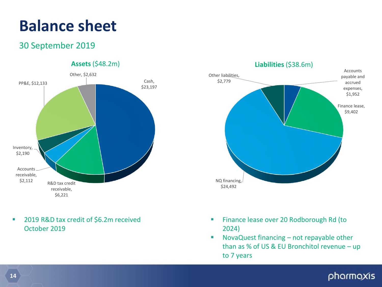## **Balance sheet**

### 30 September 2019



■ 2019 R&D tax credit of \$6.2m received October 2019



- **Finance lease over 20 Rodborough Rd (to** 2024)
- NovaQuest financing not repayable other than as % of US & EU Bronchitol revenue – up to 7 years

### phormoxis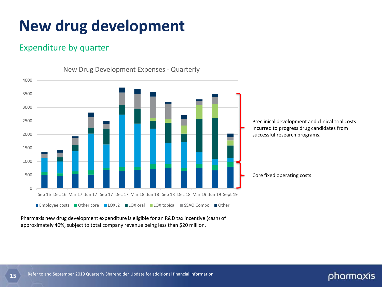# **New drug development**

### Expenditure by quarter

 $\Omega$ 500 1000 1500 2000 2500 3000 3500 4000 Sep 16 Dec 16 Mar 17 Jun 17 Sep 17 Dec 17 Mar 18 Jun 18 Sep 18 Dec 18 Mar 19 Jun 19 Sept 19 **Employee costs** ■ Other core ■ LOXL2 ■ LOX oral ■ LOX topical ■ SSAO Combo ■ Other

New Drug Development Expenses - Quarterly

Preclinical development and clinical trial costs incurred to progress drug candidates from successful research programs.

Core fixed operating costs

Pharmaxis new drug development expenditure is eligible for an R&D tax incentive (cash) of approximately 40%, subject to total company revenue being less than \$20 million.

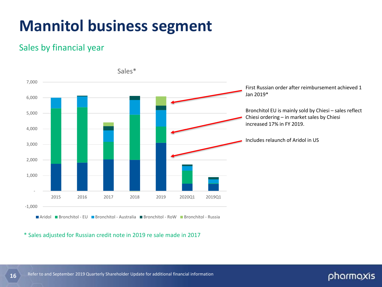## **Mannitol business segment**

### Sales by financial year



\* Sales adjusted for Russian credit note in 2019 re sale made in 2017

#### Refer to and September 2019 Quarterly Shareholder Update for additional financial information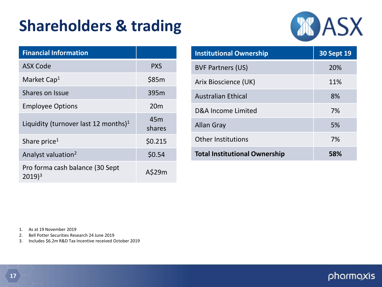# **Shareholders & trading**



| <b>Financial Information</b>                           |                           |
|--------------------------------------------------------|---------------------------|
| <b>ASX Code</b>                                        | <b>PXS</b>                |
| Market Cap <sup>1</sup>                                | \$85m                     |
| Shares on Issue                                        | 395m                      |
| <b>Employee Options</b>                                | 20 <sub>m</sub>           |
| Liquidity (turnover last 12 months) $1$                | 45 <sub>m</sub><br>shares |
| Share price <sup>1</sup>                               | \$0.215                   |
| Analyst valuation <sup>2</sup>                         | \$0.54                    |
| Pro forma cash balance (30 Sept<br>$2019$ <sup>3</sup> | A\$29m                    |

| <b>Institutional Ownership</b>       | <b>30 Sept 19</b> |
|--------------------------------------|-------------------|
| <b>BVF Partners (US)</b>             | 20%               |
| Arix Bioscience (UK)                 | 11%               |
| <b>Australian Ethical</b>            | 8%                |
| D&A Income Limited                   | 7%                |
| Allan Gray                           | 5%                |
| <b>Other Institutions</b>            | 7%                |
| <b>Total Institutional Ownership</b> | 58%               |

1. As at 19 November 2019

2. Bell Potter Securities Research 24 June 2019

3. Includes \$6.2m R&D Tax Incentive received October 2019